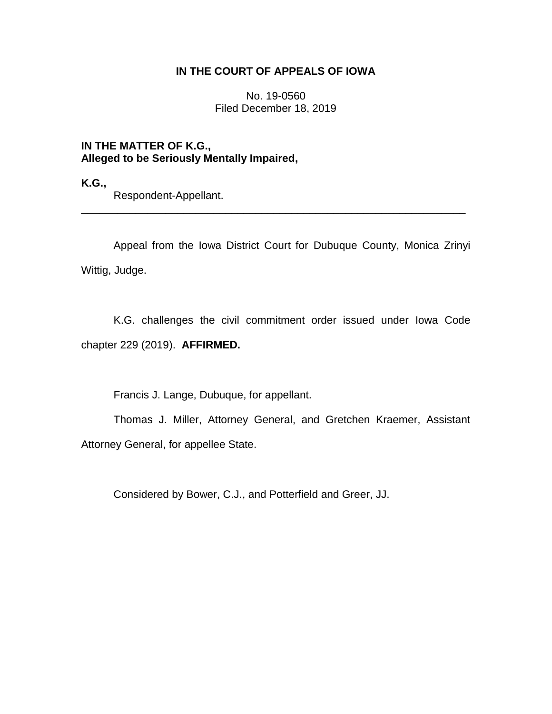# **IN THE COURT OF APPEALS OF IOWA**

No. 19-0560 Filed December 18, 2019

**IN THE MATTER OF K.G., Alleged to be Seriously Mentally Impaired,**

**K.G.,**

Respondent-Appellant.

Appeal from the Iowa District Court for Dubuque County, Monica Zrinyi Wittig, Judge.

\_\_\_\_\_\_\_\_\_\_\_\_\_\_\_\_\_\_\_\_\_\_\_\_\_\_\_\_\_\_\_\_\_\_\_\_\_\_\_\_\_\_\_\_\_\_\_\_\_\_\_\_\_\_\_\_\_\_\_\_\_\_\_\_

K.G. challenges the civil commitment order issued under Iowa Code chapter 229 (2019). **AFFIRMED.**

Francis J. Lange, Dubuque, for appellant.

Thomas J. Miller, Attorney General, and Gretchen Kraemer, Assistant Attorney General, for appellee State.

Considered by Bower, C.J., and Potterfield and Greer, JJ.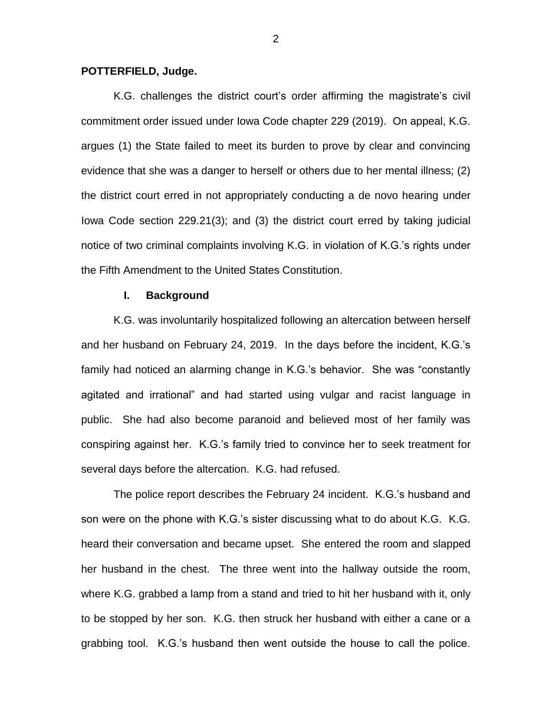### **POTTERFIELD, Judge.**

K.G. challenges the district court's order affirming the magistrate's civil commitment order issued under Iowa Code chapter 229 (2019). On appeal, K.G. argues (1) the State failed to meet its burden to prove by clear and convincing evidence that she was a danger to herself or others due to her mental illness; (2) the district court erred in not appropriately conducting a de novo hearing under Iowa Code section 229.21(3); and (3) the district court erred by taking judicial notice of two criminal complaints involving K.G. in violation of K.G.'s rights under the Fifth Amendment to the United States Constitution.

### **I. Background**

K.G. was involuntarily hospitalized following an altercation between herself and her husband on February 24, 2019. In the days before the incident, K.G.'s family had noticed an alarming change in K.G.'s behavior. She was "constantly agitated and irrational" and had started using vulgar and racist language in public. She had also become paranoid and believed most of her family was conspiring against her. K.G.'s family tried to convince her to seek treatment for several days before the altercation. K.G. had refused.

The police report describes the February 24 incident. K.G.'s husband and son were on the phone with K.G.'s sister discussing what to do about K.G. K.G. heard their conversation and became upset. She entered the room and slapped her husband in the chest. The three went into the hallway outside the room, where K.G. grabbed a lamp from a stand and tried to hit her husband with it, only to be stopped by her son. K.G. then struck her husband with either a cane or a grabbing tool. K.G.'s husband then went outside the house to call the police.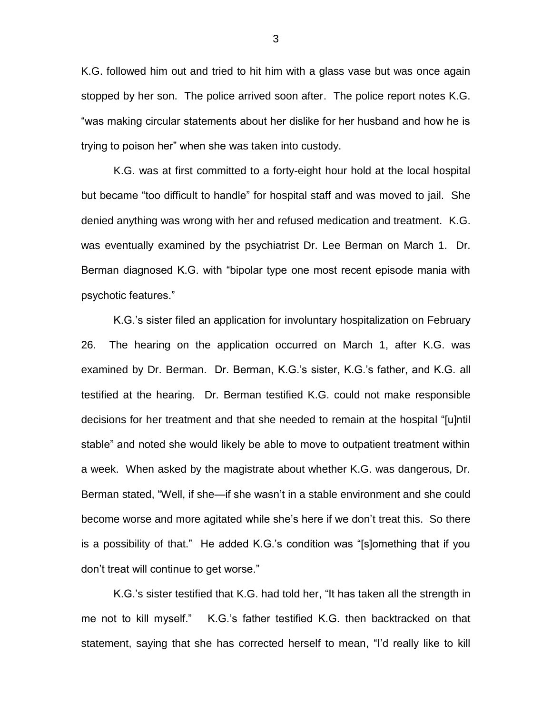K.G. followed him out and tried to hit him with a glass vase but was once again stopped by her son. The police arrived soon after. The police report notes K.G. "was making circular statements about her dislike for her husband and how he is trying to poison her" when she was taken into custody.

K.G. was at first committed to a forty-eight hour hold at the local hospital but became "too difficult to handle" for hospital staff and was moved to jail. She denied anything was wrong with her and refused medication and treatment. K.G. was eventually examined by the psychiatrist Dr. Lee Berman on March 1. Dr. Berman diagnosed K.G. with "bipolar type one most recent episode mania with psychotic features."

K.G.'s sister filed an application for involuntary hospitalization on February 26. The hearing on the application occurred on March 1, after K.G. was examined by Dr. Berman. Dr. Berman, K.G.'s sister, K.G.'s father, and K.G. all testified at the hearing. Dr. Berman testified K.G. could not make responsible decisions for her treatment and that she needed to remain at the hospital "[u]ntil stable" and noted she would likely be able to move to outpatient treatment within a week. When asked by the magistrate about whether K.G. was dangerous, Dr. Berman stated, "Well, if she—if she wasn't in a stable environment and she could become worse and more agitated while she's here if we don't treat this. So there is a possibility of that." He added K.G.'s condition was "[s]omething that if you don't treat will continue to get worse."

K.G.'s sister testified that K.G. had told her, "It has taken all the strength in me not to kill myself." K.G.'s father testified K.G. then backtracked on that statement, saying that she has corrected herself to mean, "I'd really like to kill

3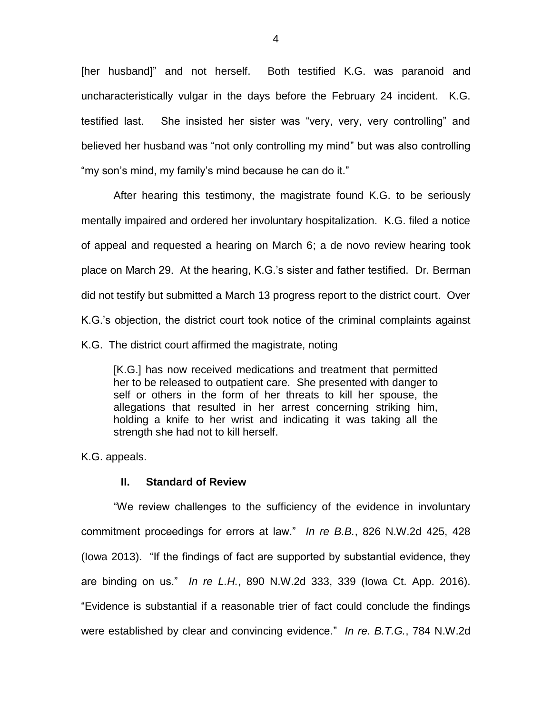[her husband]" and not herself. Both testified K.G. was paranoid and uncharacteristically vulgar in the days before the February 24 incident. K.G. testified last. She insisted her sister was "very, very, very controlling" and believed her husband was "not only controlling my mind" but was also controlling "my son's mind, my family's mind because he can do it."

After hearing this testimony, the magistrate found K.G. to be seriously mentally impaired and ordered her involuntary hospitalization. K.G. filed a notice of appeal and requested a hearing on March 6; a de novo review hearing took place on March 29. At the hearing, K.G.'s sister and father testified. Dr. Berman did not testify but submitted a March 13 progress report to the district court. Over K.G.'s objection, the district court took notice of the criminal complaints against

K.G. The district court affirmed the magistrate, noting

[K.G.] has now received medications and treatment that permitted her to be released to outpatient care. She presented with danger to self or others in the form of her threats to kill her spouse, the allegations that resulted in her arrest concerning striking him, holding a knife to her wrist and indicating it was taking all the strength she had not to kill herself.

K.G. appeals.

## **II. Standard of Review**

"We review challenges to the sufficiency of the evidence in involuntary commitment proceedings for errors at law." *In re B.B.*, 826 N.W.2d 425, 428 (Iowa 2013). "If the findings of fact are supported by substantial evidence, they are binding on us." *In re L.H.*, 890 N.W.2d 333, 339 (Iowa Ct. App. 2016). "Evidence is substantial if a reasonable trier of fact could conclude the findings were established by clear and convincing evidence." *In re. B.T.G.*, 784 N.W.2d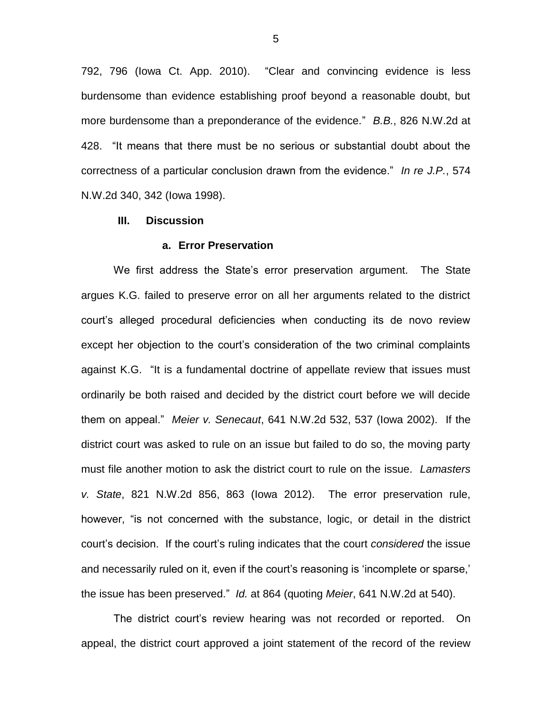792, 796 (Iowa Ct. App. 2010). "Clear and convincing evidence is less burdensome than evidence establishing proof beyond a reasonable doubt, but more burdensome than a preponderance of the evidence." *B.B.*, 826 N.W.2d at 428. "It means that there must be no serious or substantial doubt about the correctness of a particular conclusion drawn from the evidence." *In re J.P.*, 574 N.W.2d 340, 342 (Iowa 1998).

### **III. Discussion**

#### **a. Error Preservation**

We first address the State's error preservation argument. The State argues K.G. failed to preserve error on all her arguments related to the district court's alleged procedural deficiencies when conducting its de novo review except her objection to the court's consideration of the two criminal complaints against K.G. "It is a fundamental doctrine of appellate review that issues must ordinarily be both raised and decided by the district court before we will decide them on appeal." *Meier v. Senecaut*, 641 N.W.2d 532, 537 (Iowa 2002). If the district court was asked to rule on an issue but failed to do so, the moving party must file another motion to ask the district court to rule on the issue. *Lamasters v. State*, 821 N.W.2d 856, 863 (Iowa 2012). The error preservation rule, however, "is not concerned with the substance, logic, or detail in the district court's decision. If the court's ruling indicates that the court *considered* the issue and necessarily ruled on it, even if the court's reasoning is 'incomplete or sparse,' the issue has been preserved." *Id.* at 864 (quoting *Meier*, 641 N.W.2d at 540).

The district court's review hearing was not recorded or reported. On appeal, the district court approved a joint statement of the record of the review

5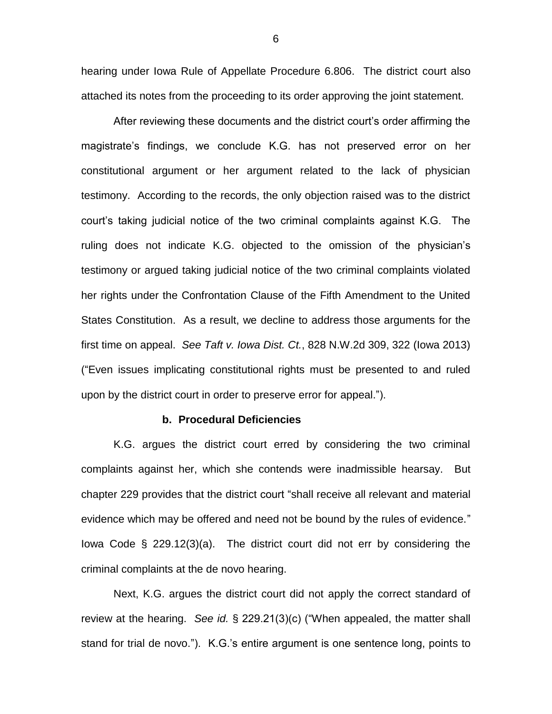hearing under Iowa Rule of Appellate Procedure 6.806. The district court also attached its notes from the proceeding to its order approving the joint statement.

After reviewing these documents and the district court's order affirming the magistrate's findings, we conclude K.G. has not preserved error on her constitutional argument or her argument related to the lack of physician testimony. According to the records, the only objection raised was to the district court's taking judicial notice of the two criminal complaints against K.G. The ruling does not indicate K.G. objected to the omission of the physician's testimony or argued taking judicial notice of the two criminal complaints violated her rights under the Confrontation Clause of the Fifth Amendment to the United States Constitution. As a result, we decline to address those arguments for the first time on appeal. *See Taft v. Iowa Dist. Ct.*, 828 N.W.2d 309, 322 (Iowa 2013) ("Even issues implicating constitutional rights must be presented to and ruled upon by the district court in order to preserve error for appeal.").

#### **b. Procedural Deficiencies**

K.G. argues the district court erred by considering the two criminal complaints against her, which she contends were inadmissible hearsay. But chapter 229 provides that the district court "shall receive all relevant and material evidence which may be offered and need not be bound by the rules of evidence." Iowa Code § 229.12(3)(a). The district court did not err by considering the criminal complaints at the de novo hearing.

Next, K.G. argues the district court did not apply the correct standard of review at the hearing. *See id.* § 229.21(3)(c) ("When appealed, the matter shall stand for trial de novo."). K.G.'s entire argument is one sentence long, points to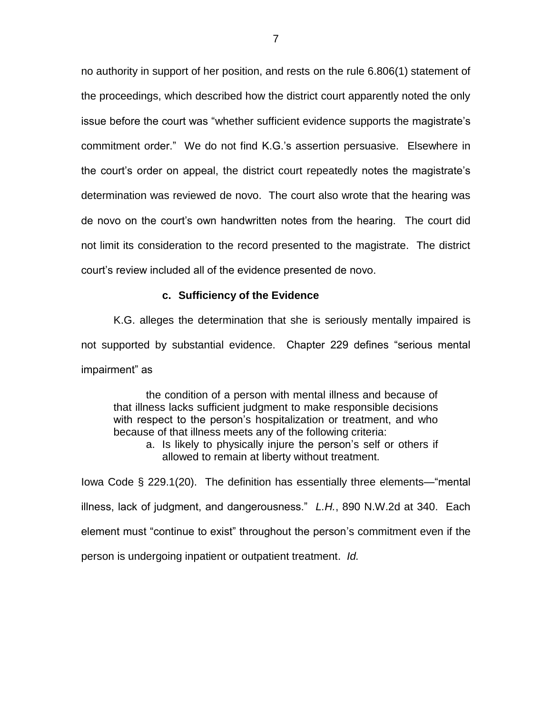no authority in support of her position, and rests on the rule 6.806(1) statement of the proceedings, which described how the district court apparently noted the only issue before the court was "whether sufficient evidence supports the magistrate's commitment order." We do not find K.G.'s assertion persuasive. Elsewhere in the court's order on appeal, the district court repeatedly notes the magistrate's determination was reviewed de novo. The court also wrote that the hearing was de novo on the court's own handwritten notes from the hearing. The court did not limit its consideration to the record presented to the magistrate. The district court's review included all of the evidence presented de novo.

## **c. Sufficiency of the Evidence**

K.G. alleges the determination that she is seriously mentally impaired is not supported by substantial evidence. Chapter 229 defines "serious mental impairment" as

the condition of a person with mental illness and because of that illness lacks sufficient judgment to make responsible decisions with respect to the person's hospitalization or treatment, and who because of that illness meets any of the following criteria:

a. Is likely to physically injure the person's self or others if allowed to remain at liberty without treatment.

Iowa Code § 229.1(20). The definition has essentially three elements—"mental illness, lack of judgment, and dangerousness." *L.H.*, 890 N.W.2d at 340. Each element must "continue to exist" throughout the person's commitment even if the person is undergoing inpatient or outpatient treatment. *Id.*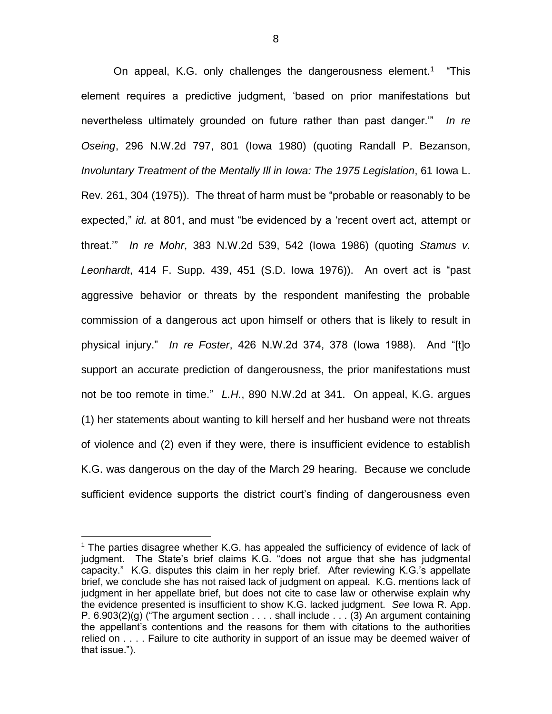On appeal, K.G. only challenges the dangerousness element.<sup>1</sup> "This element requires a predictive judgment, 'based on prior manifestations but nevertheless ultimately grounded on future rather than past danger.'" *In re Oseing*, 296 N.W.2d 797, 801 (Iowa 1980) (quoting Randall P. Bezanson, *Involuntary Treatment of the Mentally Ill in Iowa: The 1975 Legislation*, 61 Iowa L. Rev. 261, 304 (1975)). The threat of harm must be "probable or reasonably to be expected," *id.* at 801, and must "be evidenced by a 'recent overt act, attempt or threat.'" *In re Mohr*, 383 N.W.2d 539, 542 (Iowa 1986) (quoting *Stamus v. Leonhardt*, 414 F. Supp. 439, 451 (S.D. Iowa 1976)). An overt act is "past aggressive behavior or threats by the respondent manifesting the probable commission of a dangerous act upon himself or others that is likely to result in physical injury." *In re Foster*, 426 N.W.2d 374, 378 (Iowa 1988). And "[t]o support an accurate prediction of dangerousness, the prior manifestations must not be too remote in time." *L.H.*, 890 N.W.2d at 341. On appeal, K.G. argues (1) her statements about wanting to kill herself and her husband were not threats of violence and (2) even if they were, there is insufficient evidence to establish K.G. was dangerous on the day of the March 29 hearing. Because we conclude sufficient evidence supports the district court's finding of dangerousness even

 $\overline{a}$ 

<sup>&</sup>lt;sup>1</sup> The parties disagree whether K.G. has appealed the sufficiency of evidence of lack of judgment. The State's brief claims K.G. "does not argue that she has judgmental capacity." K.G. disputes this claim in her reply brief. After reviewing K.G.'s appellate brief, we conclude she has not raised lack of judgment on appeal. K.G. mentions lack of judgment in her appellate brief, but does not cite to case law or otherwise explain why the evidence presented is insufficient to show K.G. lacked judgment. *See* Iowa R. App. P. 6.903(2)(g) ("The argument section . . . . shall include . . . (3) An argument containing the appellant's contentions and the reasons for them with citations to the authorities relied on . . . . Failure to cite authority in support of an issue may be deemed waiver of that issue.").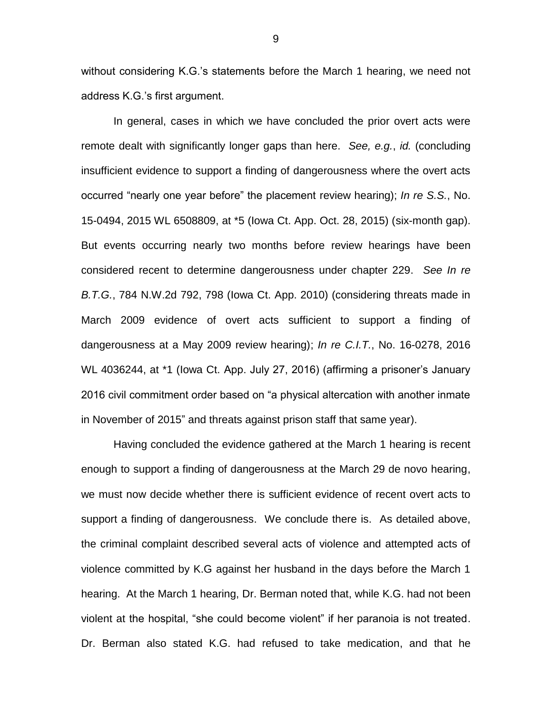without considering K.G.'s statements before the March 1 hearing, we need not address K.G.'s first argument.

In general, cases in which we have concluded the prior overt acts were remote dealt with significantly longer gaps than here. *See, e.g.*, *id.* (concluding insufficient evidence to support a finding of dangerousness where the overt acts occurred "nearly one year before" the placement review hearing); *In re S.S.*, No. 15-0494, 2015 WL 6508809, at \*5 (Iowa Ct. App. Oct. 28, 2015) (six-month gap). But events occurring nearly two months before review hearings have been considered recent to determine dangerousness under chapter 229. *See In re B.T.G.*, 784 N.W.2d 792, 798 (Iowa Ct. App. 2010) (considering threats made in March 2009 evidence of overt acts sufficient to support a finding of dangerousness at a May 2009 review hearing); *In re C.I.T.*, No. 16-0278, 2016 WL 4036244, at \*1 (Iowa Ct. App. July 27, 2016) (affirming a prisoner's January 2016 civil commitment order based on "a physical altercation with another inmate in November of 2015" and threats against prison staff that same year).

Having concluded the evidence gathered at the March 1 hearing is recent enough to support a finding of dangerousness at the March 29 de novo hearing, we must now decide whether there is sufficient evidence of recent overt acts to support a finding of dangerousness. We conclude there is. As detailed above, the criminal complaint described several acts of violence and attempted acts of violence committed by K.G against her husband in the days before the March 1 hearing. At the March 1 hearing, Dr. Berman noted that, while K.G. had not been violent at the hospital, "she could become violent" if her paranoia is not treated. Dr. Berman also stated K.G. had refused to take medication, and that he